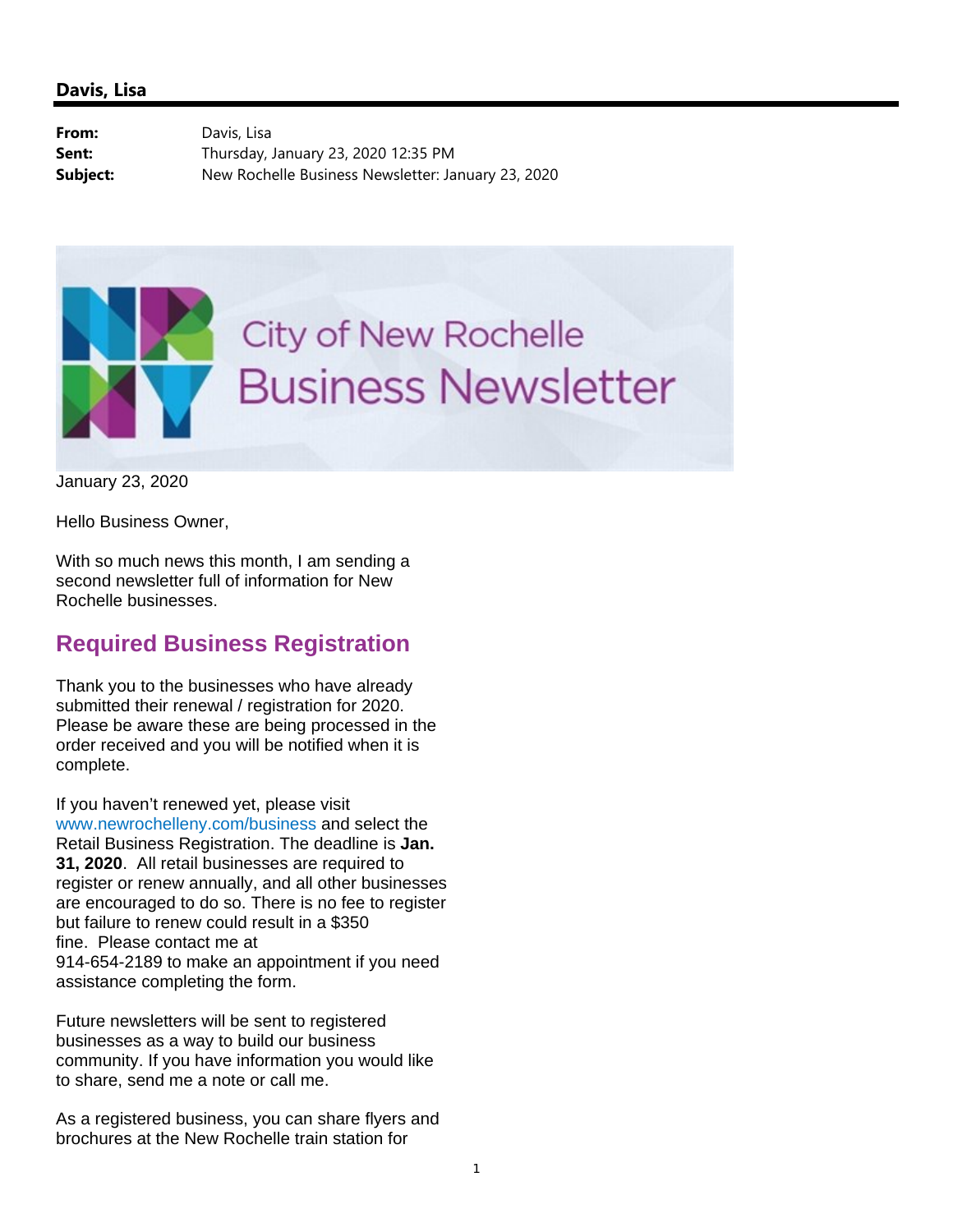## **Davis, Lisa**

From: Davis, Lisa **Sent:** Thursday, January 23, 2020 12:35 PM **Subject:** New Rochelle Business Newsletter: January 23, 2020



January 23, 2020

Hello Business Owner,

With so much news this month, I am sending a second newsletter full of information for New Rochelle businesses.

## **Required Business Registration**

Thank you to the businesses who have already submitted their renewal / registration for 2020. Please be aware these are being processed in the order received and you will be notified when it is complete.

If you haven't renewed yet, please visit www.newrochelleny.com/business and select the Retail Business Registration. The deadline is **Jan. 31, 2020**. All retail businesses are required to register or renew annually, and all other businesses are encouraged to do so. There is no fee to register but failure to renew could result in a \$350 fine. Please contact me at 914-654-2189 to make an appointment if you need assistance completing the form.

Future newsletters will be sent to registered businesses as a way to build our business community. If you have information you would like to share, send me a note or call me.

As a registered business, you can share flyers and brochures at the New Rochelle train station for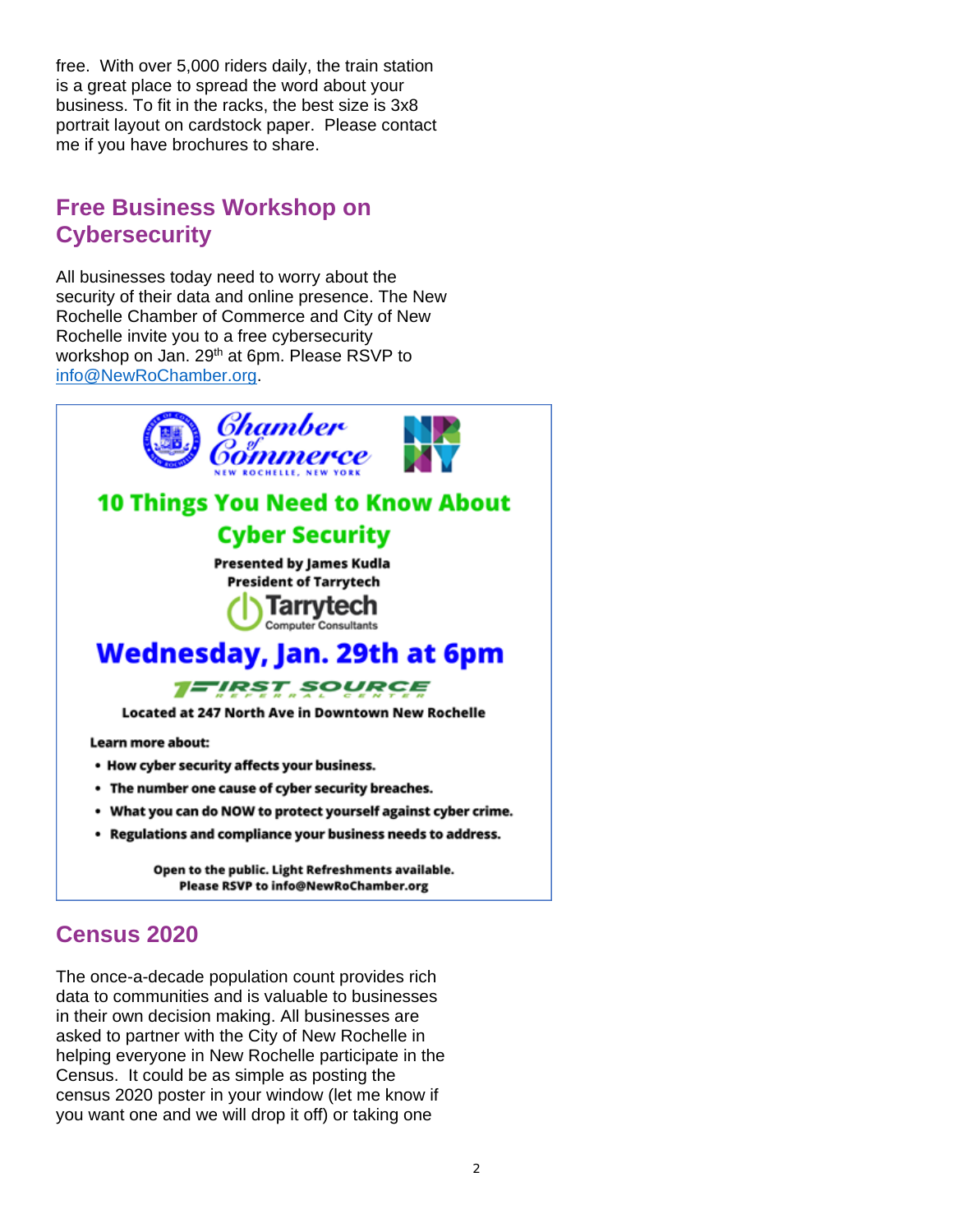free. With over 5,000 riders daily, the train station is a great place to spread the word about your business. To fit in the racks, the best size is 3x8 portrait layout on cardstock paper. Please contact me if you have brochures to share.

# **Free Business Workshop on Cybersecurity**

All businesses today need to worry about the security of their data and online presence. The New Rochelle Chamber of Commerce and City of New Rochelle invite you to a free cybersecurity workshop on Jan. 29<sup>th</sup> at 6pm. Please RSVP to info@NewRoChamber.org.



# **Census 2020**

The once-a-decade population count provides rich data to communities and is valuable to businesses in their own decision making. All businesses are asked to partner with the City of New Rochelle in helping everyone in New Rochelle participate in the Census. It could be as simple as posting the census 2020 poster in your window (let me know if you want one and we will drop it off) or taking one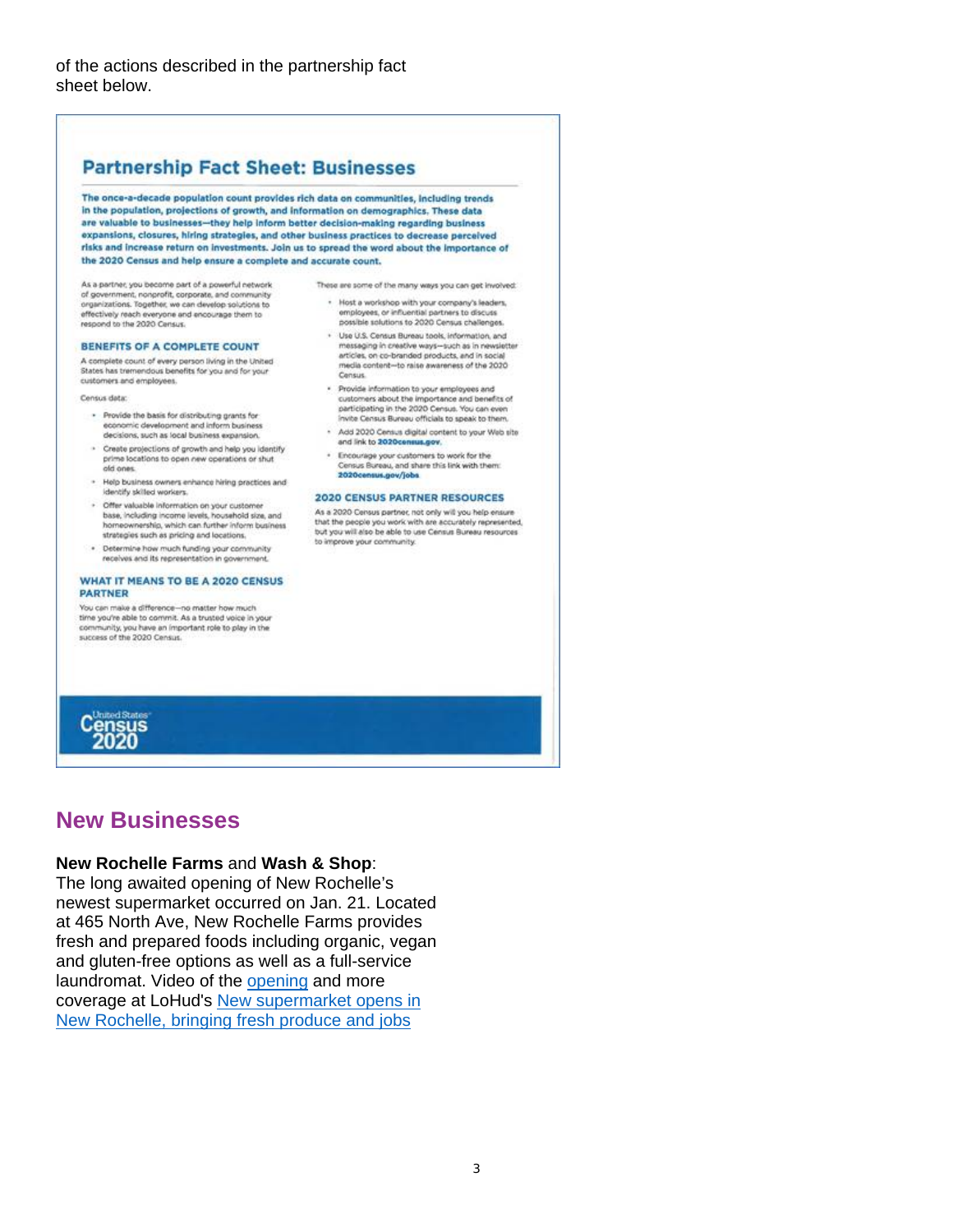#### **Partnership Fact Sheet: Businesses** The once-a-decade population count provides rich data on communities, including trends in the population, projections of growth, and information on demographics. These data are valuable to businesses-they help inform better decision-making regarding business expansions, closures, hiring strategies, and other business practices to decrease perceived risks and increase return on investments. Join us to spread the word about the importance of the 2020 Census and help ensure a complete and accurate count. As a partner, you become part of a powerful network These are some of the many ways you can get involved: of government, nonprofit, corporate, and community<br>organizations. Together, we can develop solutions to . Host a workshop with your company's leaders, employees, or influential partners to discuss effectively reach everyone and encourage them to respond to the 2020 Census. possible solutions to 2020 Census challenges. · Use U.S. Census Bureau tools, information, and BENEFITS OF A COMPLETE COUNT messaging in creative ways-such as in newsletter articles, on co-branded products, and in social A complete count of every person living in the United media content-to raise awareness of the 2020 States has tremendous benefits for you and for your Consus. customers and employees. · Provide information to your employees and Census data customers about the importance and benefits of participating in the 2020 Census. You can even · Provide the basis for distributing grants for nvite Census Bureau officials to speak to them. economic development and inform business - Add 2020 Census digital content to your Web site decisions, such as local business expansion. and link to 2020census.gov. - Create projections of growth and help you identify . Encourage your customers to work for the prime locations to open new operations or shut old ones. Census Bureau, and share this link with them: 2020census.gov/jobs . Help business owners enhance hiring practices and identify skilled workers. **2020 CENSUS PARTNER RESOURCES** · Offer valuable information on your customer As a 2020 Census partner, not only will you help ensure base, including income levels, household size, and that the people you work with are accurately represented. homeownership, which can further inform business but you will also be able to use Census Bureau resources strategies such as pricing and locations. to improve your community. . Determine how much funding your community receives and its representation in government **WHAT IT MEANS TO BE A 2020 CENSUS**

### *PARTNER* You can make a difference-no matter how much

time you're able to commit. As a trusted voice in your community, you have an important role to play in the<br>success of the 2020 Census.

## **New Businesses**

Census<br>2020

### **New Rochelle Farms** and **Wash & Shop**:

The long awaited opening of New Rochelle's newest supermarket occurred on Jan. 21. Located at 465 North Ave, New Rochelle Farms provides fresh and prepared foods including organic, vegan and gluten-free options as well as a full-service laundromat. Video of the opening and more coverage at LoHud's New supermarket opens in New Rochelle, bringing fresh produce and jobs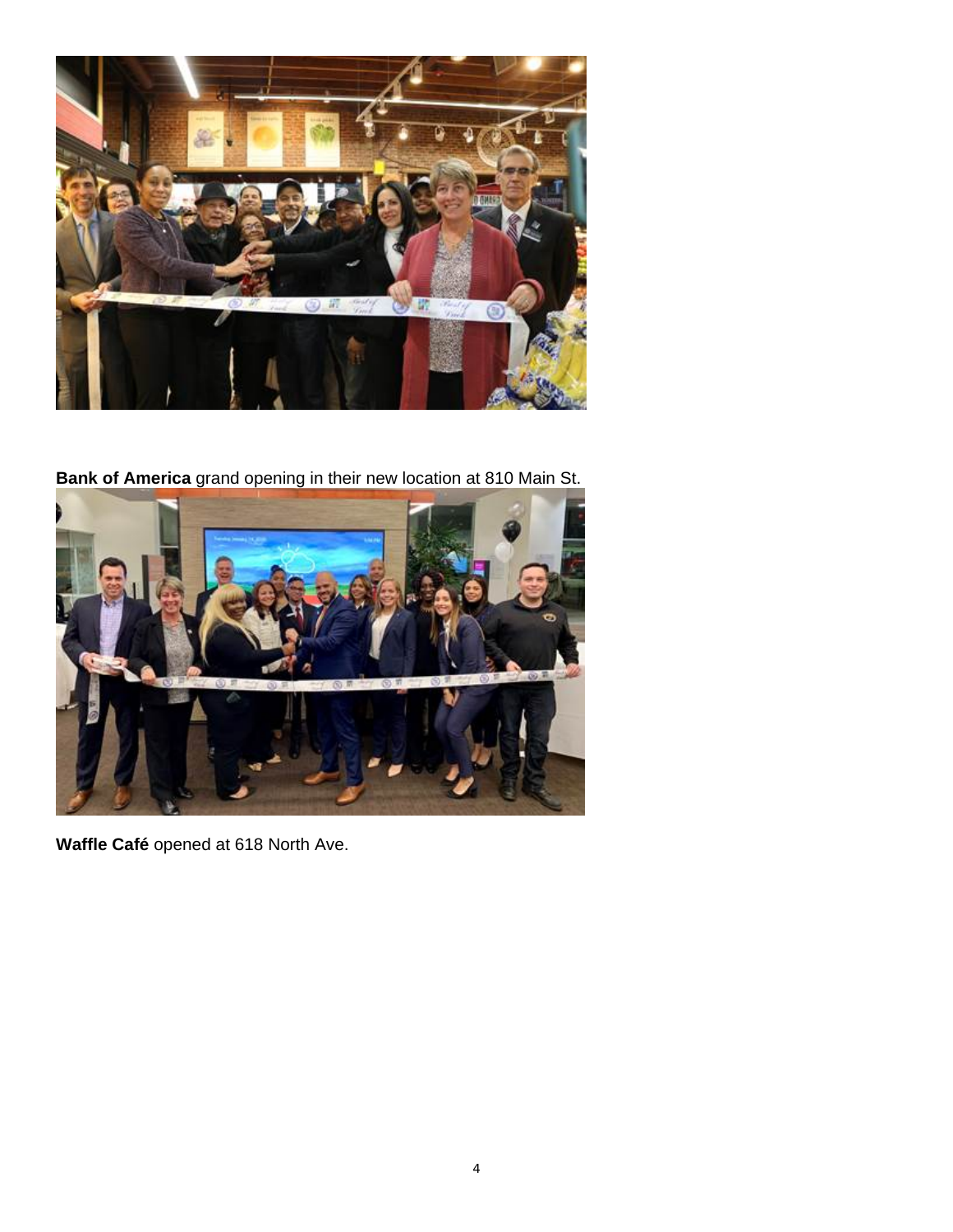

**Bank of America** grand opening in their new location at 810 Main St.



**Waffle Café** opened at 618 North Ave.